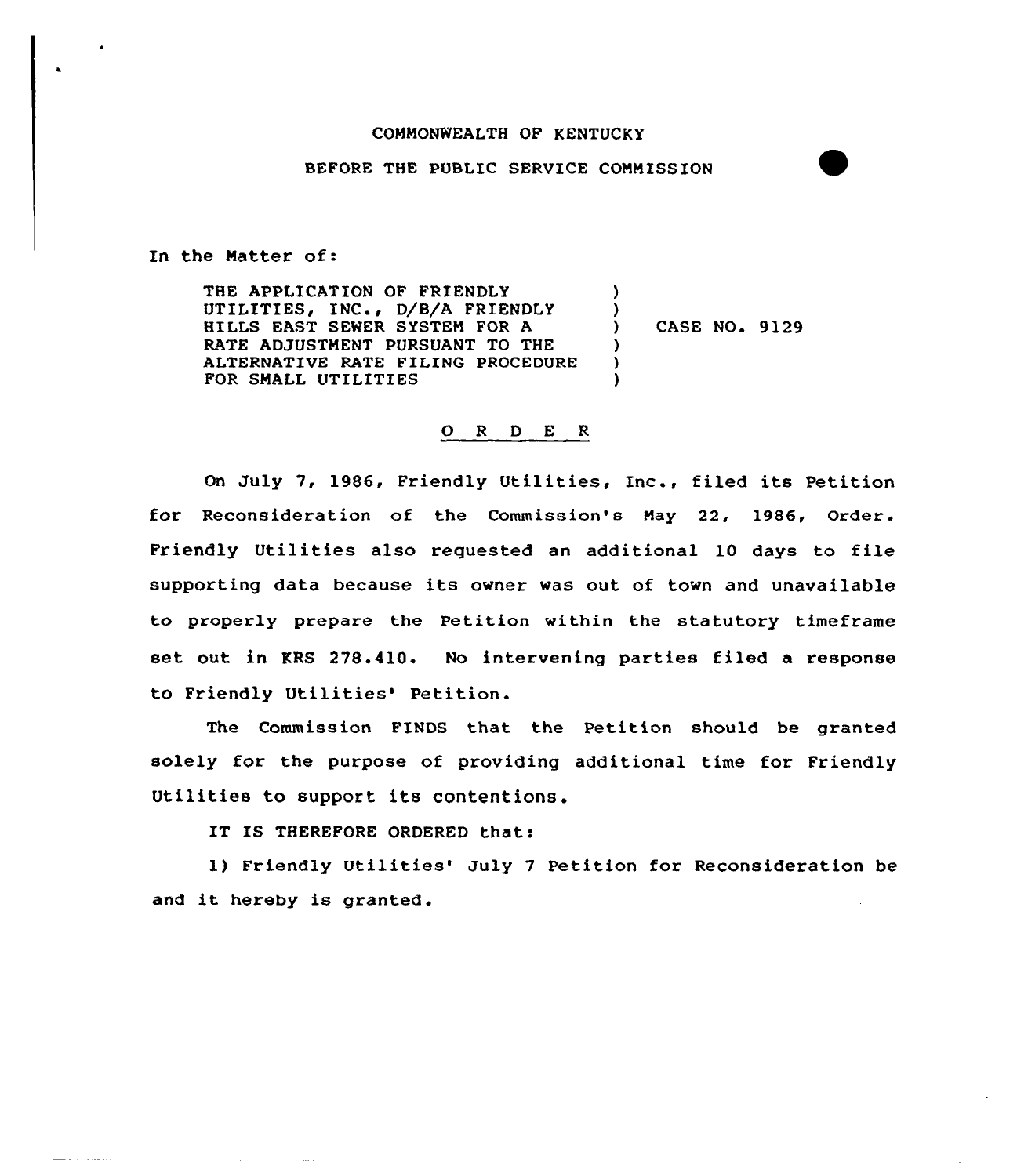## COMMONWEALTH OF KENTUCKY

## BEFORE THE PUBLIC SERVICE COMMISSION

In the Matter of:

السادا وسيساء ووعيتها والواعا

THE APPLICATION OF FRIENDLY UTILITIES, INC., D/B/A FRIENDLY HILLS EAST SEWER SYSTEM FOR A RATE ADJUSTMENT PURSUANT TO THE ALTERNATIVE RATE FILING PROCEDURE FOR SMALL UTILITIES )  $\left\{ \right\}$  $\lambda$ ) )

) CASE NO. 9129

## 0 <sup>R</sup> <sup>D</sup> <sup>E</sup> <sup>R</sup>

On July 7, 1986, Friendly Utilities, Inc., filed its Petition for Reconsideration of the Commission's May 22, 1986, Order. Friendly Utilities also requested an additional 10 days to file supporting data because its owner was out of town and unavailable to properly prepare the Petition within the statutory timefrane set out in KRS 278.410. No intervening parties filed a response to Friendly Utilities' Petition.

The Commission FINDS that the Petition should be granted solely for the purpose of providing additional time for Friendly Utilities to support its contentions.

IT IS THEREFORE ORDERED that:

1) Friendly Utilities' July 7 Petition for Reconsideration be and it hereby is granted.